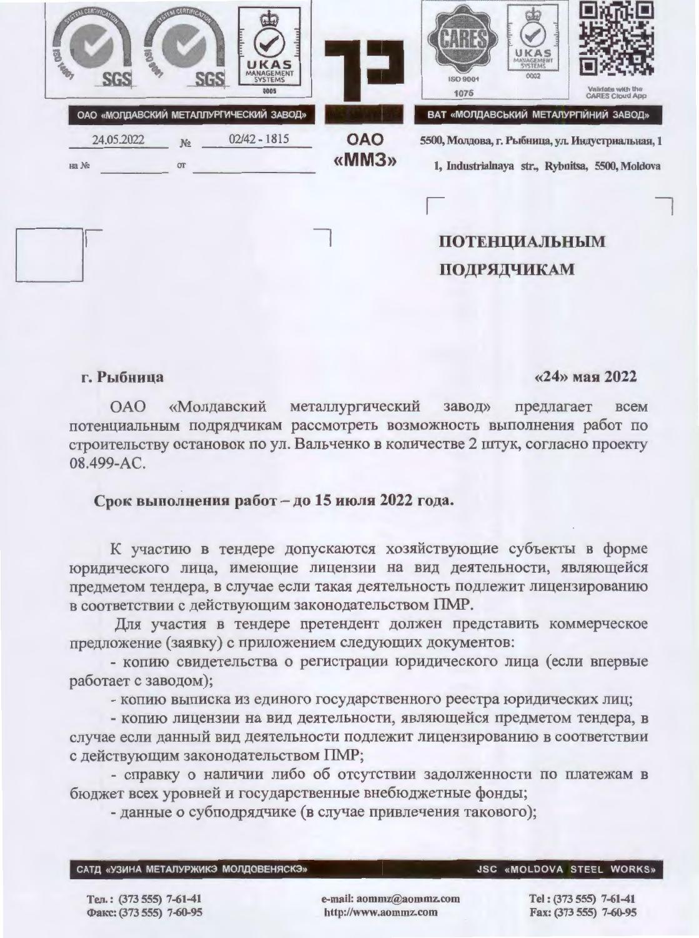| <b>CONTRACTOR</b><br>KAS<br>MANAGEMENT<br>SYSTEMS<br>0005                                                |                     | UKAS<br>0002<br><b>ISO 9001</b><br>Validate with the<br>1075<br><b>CARES Cloud App</b>                                                       |
|----------------------------------------------------------------------------------------------------------|---------------------|----------------------------------------------------------------------------------------------------------------------------------------------|
| ОАО «МОЛДАВСКИЙ МЕТАЛЛУРГИЧЕСКИЙ ЗАВОД»<br>$02/42 - 1815$<br>24.05.2022<br>N <sub>2</sub><br>на No<br>OT | <b>OAO</b><br>«MM3» | ВАТ «МОЛДАВСЬКИЙ МЕТАЛУРГІЙНИЙ ЗАВОД»<br>5500, Молдова, г. Рыбница, ул. Индустриальная, 1<br>1, Industrialnaya str., Rybnitsa, 5500, Moldova |
|                                                                                                          |                     | <b>ПОТЕНЦИАЛЬНЫМ</b><br>ПОДРЯДЧИКАМ                                                                                                          |

## г. Рыбница

## $\langle 24 \rangle$  мая 2022

**OAO** «Молдавский металлургический завод» предлагает всем потенциальным подрядчикам рассмотреть возможность выполнения работ по строительству остановок по ул. Вальченко в количестве 2 штук, согласно проекту 08.499-AC.

## Срок выполнения работ - до 15 июля 2022 года.

К участию в тендере допускаются хозяйствующие субъекты в форме юридического лица, имеющие лицензии на вид деятельности, являющейся предметом тендера, в случае если такая деятельность подлежит лицензированию в соответствии с действующим законодательством ПМР.

Для участия в тендере претендент должен представить коммерческое предложение (заявку) с приложением следующих документов:

- копию свидетельства о регистрации юридического лица (если впервые работает с заводом);

- копию выписка из единого государственного реестра юридических лиц;

- копию лицензии на вид деятельности, являющейся предметом тендера, в случае если данный вид деятельности подлежит лицензированию в соответствии с действующим законодательством ПМР;

- справку о наличии либо об отсутствии задолженности по платежам в бюджет всех уровней и государственные внебюджетные фонды;

- данные о субподрядчике (в случае привлечения такового);

|  |  | САТД «УЗИНА МЕТАЛУРЖИКЭ МОЛДОВЕНЯСКЭ» |
|--|--|---------------------------------------|
|--|--|---------------------------------------|

**JSC «MOLDOVA STEEL WORKS»** 

Тел.: (373 555) 7-61-41 Факс: (373 555) 7-60-95 e-mail: aommz@aommz.com http://www.aommz.com

Tel: (373 555) 7-61-41 Fax: (373 555) 7-60-95